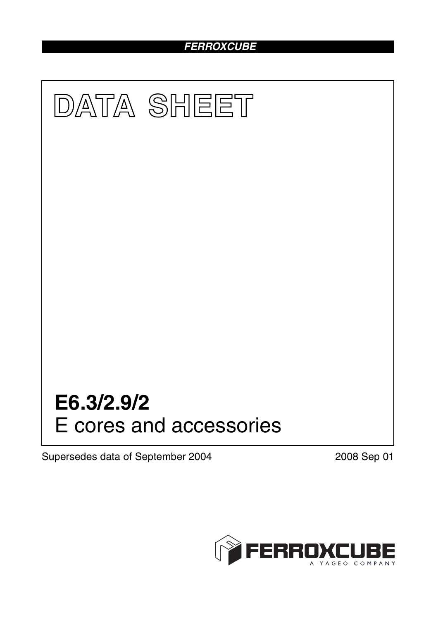# *FERROXCUBE*



Supersedes data of September 2004 2008 Sep 01

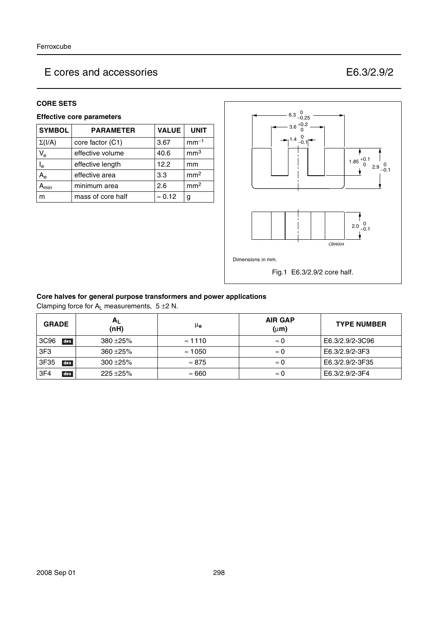#### **CORE SETS**

### **Effective core parameters**

| <b>SYMBOL</b>             | <b>PARAMETER</b>  | <b>VALUE</b>   | <b>UNIT</b>     |
|---------------------------|-------------------|----------------|-----------------|
| $\Sigma(I/A)$             | core factor (C1)  | 3.67           | $mm-1$          |
| $V_{\rm e}$               | effective volume  | 40.6           | mm <sup>3</sup> |
| $\mathsf{l}_{\mathsf{e}}$ | effective length  | 12.2           | mm              |
| $A_{\rm e}$               | effective area    | 3.3            | mm <sup>2</sup> |
| <b>\</b> min              | minimum area      | 2.6            | mm <sup>2</sup> |
| m                         | mass of core half | $\approx 0.12$ | g               |



#### **Core halves for general purpose transformers and power applications**

Clamping force for  $A_L$  measurements,  $5 \pm 2 N$ .

| <b>GRADE</b>           | $A_L$<br>(nH) | μ <sub>e</sub> | <b>AIR GAP</b><br>$(\mu m)$ | <b>TYPE NUMBER</b> |
|------------------------|---------------|----------------|-----------------------------|--------------------|
| 3C96<br>des            | $380 + 25%$   | $\approx$ 1110 | $\approx 0$                 | E6.3/2.9/2-3C96    |
| 3F <sub>3</sub>        | $360 + 25%$   | $\approx$ 1050 | $\approx 0$                 | E6.3/2.9/2-3F3     |
| 3F35<br>des            | $300 + 25%$   | $\approx 875$  | $\approx 0$                 | E6.3/2.9/2-3F35    |
| 3F <sub>4</sub><br>des | $225 + 25%$   | $\approx 660$  | $\approx 0$                 | E6.3/2.9/2-3F4     |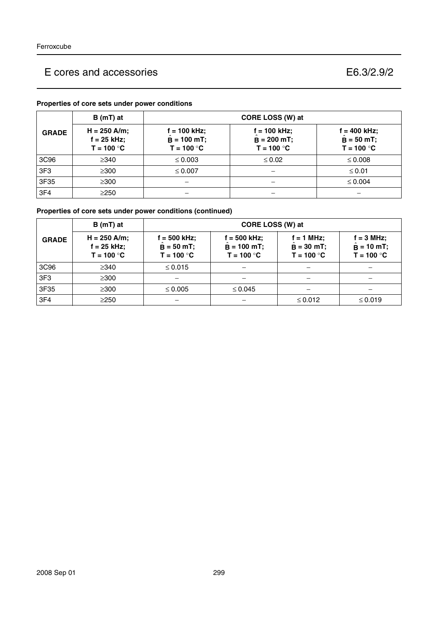### **Properties of core sets under power conditions**

|                  | B (mT) at                                       | CORE LOSS (W) at                                |                                                 |                                                |  |
|------------------|-------------------------------------------------|-------------------------------------------------|-------------------------------------------------|------------------------------------------------|--|
| <b>GRADE</b>     | $H = 250$ A/m;<br>$f = 25$ kHz;<br>$T = 100 °C$ | $f = 100$ kHz;<br>$B = 100$ mT;<br>$T = 100 °C$ | $f = 100$ kHz;<br>$B = 200$ mT;<br>$T = 100 °C$ | $f = 400$ kHz;<br>$B = 50$ mT;<br>$T = 100 °C$ |  |
| 3C <sub>96</sub> | $\geq$ 340                                      | $\leq 0.003$                                    | $\leq 0.02$                                     | $\leq 0.008$                                   |  |
| 3F <sub>3</sub>  | $\geq$ 300                                      | $\leq 0.007$                                    |                                                 | $\leq 0.01$                                    |  |
| 3F35             | $\geq$ 300                                      |                                                 |                                                 | $\leq 0.004$                                   |  |
| 3F <sub>4</sub>  | $\geq$ 250                                      |                                                 |                                                 |                                                |  |

## **Properties of core sets under power conditions (continued)**

|                 | $B(mT)$ at                                    | CORE LOSS (W) at                               |                                               |                                              |                                                     |  |
|-----------------|-----------------------------------------------|------------------------------------------------|-----------------------------------------------|----------------------------------------------|-----------------------------------------------------|--|
| <b>GRADE</b>    | $H = 250$ A/m;<br>f = 25 kHz;<br>$T = 100 °C$ | $f = 500$ kHz;<br>$B = 50$ mT;<br>$T = 100 °C$ | f = 500 kHz;<br>$B = 100$ mT;<br>$T = 100 °C$ | $f = 1$ MHz;<br>$B = 30$ mT;<br>$T = 100 °C$ | $f = 3 MHz$ ;<br>$\hat{B} = 10$ mT;<br>$T = 100 °C$ |  |
| 3C96            | $\geq$ 340                                    | $\leq 0.015$                                   |                                               |                                              |                                                     |  |
| 3F <sub>3</sub> | $\geq$ 300                                    |                                                |                                               |                                              |                                                     |  |
| 3F35            | $\geq$ 300                                    | $\leq 0.005$                                   | $\leq 0.045$                                  |                                              |                                                     |  |
| 3F4             | $\geq$ 250                                    |                                                | -                                             | $\leq 0.012$                                 | $\leq 0.019$                                        |  |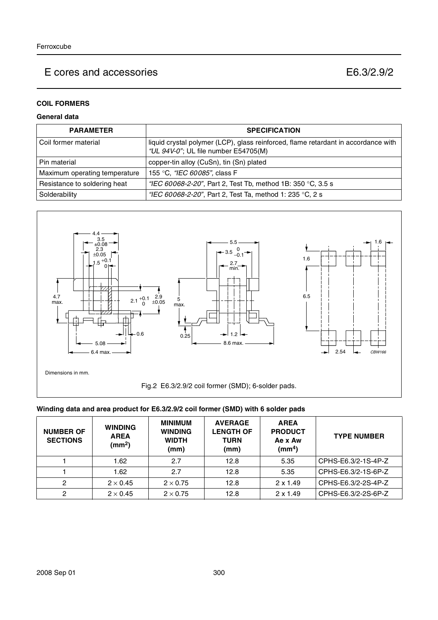### **COIL FORMERS**

### **General data**

| <b>PARAMETER</b>              | <b>SPECIFICATION</b>                                                                                                       |
|-------------------------------|----------------------------------------------------------------------------------------------------------------------------|
| l Coil former material        | liquid crystal polymer (LCP), glass reinforced, flame retardant in accordance with<br>"UL 94V-0"; UL file number E54705(M) |
| l Pin material                | copper-tin alloy (CuSn), tin (Sn) plated                                                                                   |
| Maximum operating temperature | 155 °C, <i>"IEC 60085"</i> , class F                                                                                       |
| Resistance to soldering heat  | "IEC 60068-2-20", Part 2, Test Tb, method 1B: 350 °C, 3.5 s                                                                |
| Solderability                 | "IEC 60068-2-20", Part 2, Test Ta, method 1: 235 °C, 2 s                                                                   |



#### **Winding data and area product for E6.3/2.9/2 coil former (SMD) with 6 solder pads**

| <b>NUMBER OF</b><br><b>SECTIONS</b> | <b>WINDING</b><br><b>AREA</b><br>(mm <sup>2</sup> ) | <b>MINIMUM</b><br><b>WINDING</b><br><b>WIDTH</b><br>(mm) | <b>AVERAGE</b><br><b>LENGTH OF</b><br><b>TURN</b><br>(mm) | <b>AREA</b><br><b>PRODUCT</b><br>Ae x Aw<br>$\textsf{(mm}^4)$ | <b>TYPE NUMBER</b>  |
|-------------------------------------|-----------------------------------------------------|----------------------------------------------------------|-----------------------------------------------------------|---------------------------------------------------------------|---------------------|
|                                     | 1.62                                                | 2.7                                                      | 12.8                                                      | 5.35                                                          | CPHS-E6.3/2-1S-4P-Z |
|                                     | 1.62                                                | 2.7                                                      | 12.8                                                      | 5.35                                                          | CPHS-E6.3/2-1S-6P-Z |
| 2                                   | $2 \times 0.45$                                     | $2 \times 0.75$                                          | 12.8                                                      | $2 \times 1.49$                                               | CPHS-E6.3/2-2S-4P-Z |
| 2                                   | $2 \times 0.45$                                     | $2 \times 0.75$                                          | 12.8                                                      | $2 \times 1.49$                                               | CPHS-E6.3/2-2S-6P-Z |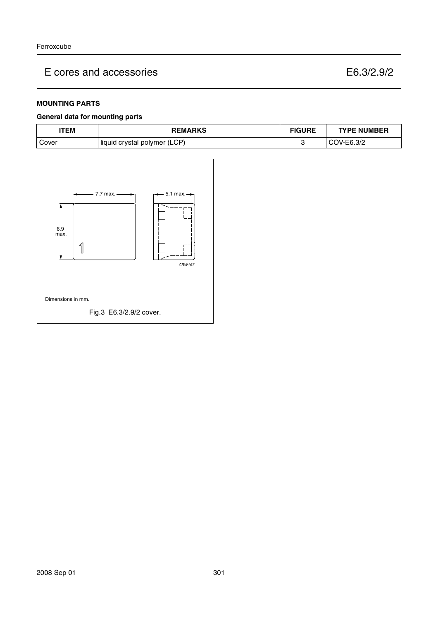#### **MOUNTING PARTS**

#### **General data for mounting parts**

| TEM   | <b>REMARKS</b>               | <b>FIGURE</b> | <b>TYPE NUMBER</b> |
|-------|------------------------------|---------------|--------------------|
| Cover | liquid crystal polymer (LCP) |               | OV-E6.3/2          |

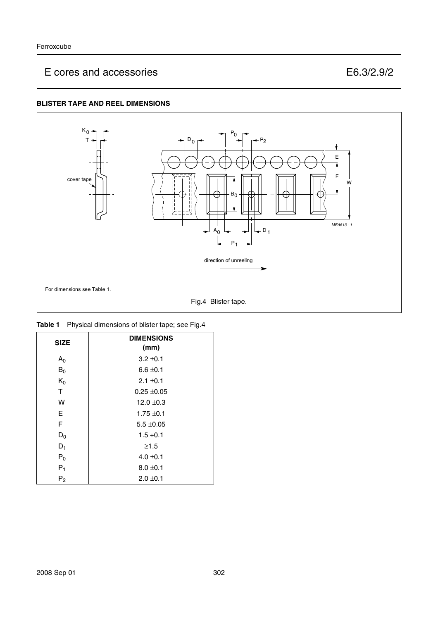### **BLISTER TAPE AND REEL DIMENSIONS**



|  | <b>Table 1</b> Physical dimensions of blister tape; see Fig.4 |  |
|--|---------------------------------------------------------------|--|
|--|---------------------------------------------------------------|--|

| <b>SIZE</b>    | <b>DIMENSIONS</b><br>(mm) |
|----------------|---------------------------|
| A <sub>0</sub> | $3.2 \pm 0.1$             |
| $B_0$          | $6.6 \pm 0.1$             |
| $K_0$          | $2.1 \pm 0.1$             |
| T              | $0.25 \pm 0.05$           |
| W              | $12.0 \pm 0.3$            |
| E.             | $1.75 \pm 0.1$            |
| F              | $5.5 \pm 0.05$            |
| $D_0$          | $1.5 + 0.1$               |
| $D_1$          | $\geq 1.5$                |
| $P_0$          | $4.0 \pm 0.1$             |
| $P_1$          | $8.0 \pm 0.1$             |
| P <sub>2</sub> | $2.0 \pm 0.1$             |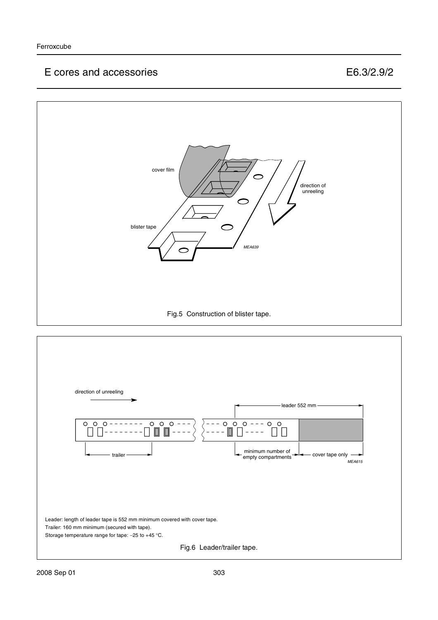

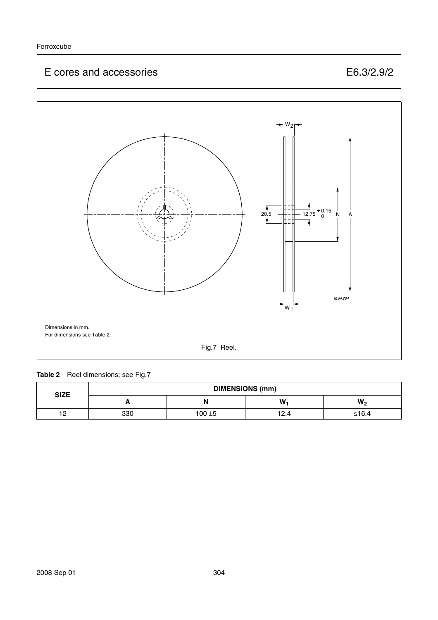

### Table 2 Reel dimensions; see Fig.7

| <b>SIZE</b> | <b>DIMENSIONS (mm)</b> |           |      |                |
|-------------|------------------------|-----------|------|----------------|
|             | Ē                      | N         | W    | W <sub>2</sub> |
| 12          | 330                    | $100 + 5$ | 12.4 | ≤16.4          |